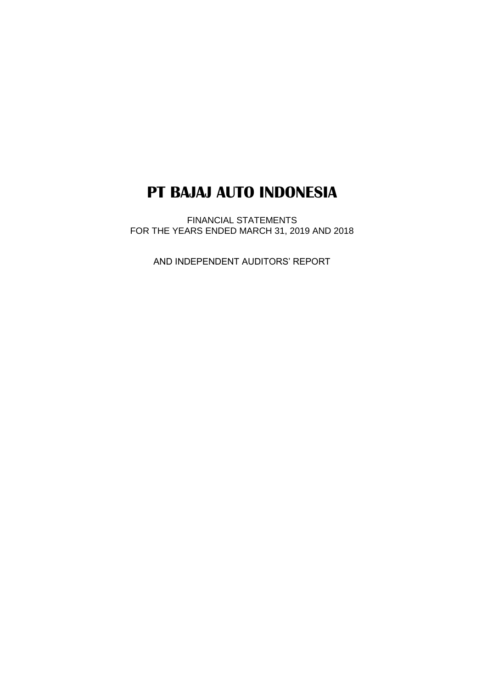FINANCIAL STATEMENTS FOR THE YEARS ENDED MARCH 31, 2019 AND 2018

AND INDEPENDENT AUDITORS' REPORT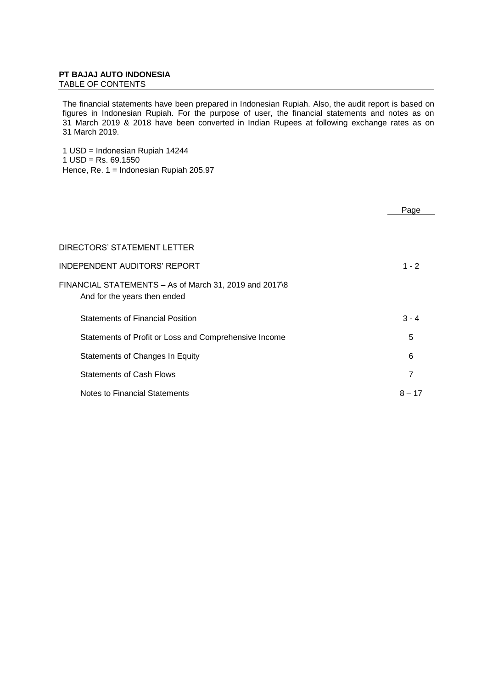TABLE OF CONTENTS

The financial statements have been prepared in Indonesian Rupiah. Also, the audit report is based on figures in Indonesian Rupiah. For the purpose of user, the financial statements and notes as on 31 March 2019 & 2018 have been converted in Indian Rupees at following exchange rates as on 31 March 2019.

1 USD = Indonesian Rupiah 14244  $1$  USD = Rs. 69.1550 Hence, Re. 1 = Indonesian Rupiah 205.97

|                                                                                        | Page     |
|----------------------------------------------------------------------------------------|----------|
|                                                                                        |          |
| DIRECTORS' STATEMENT LETTER                                                            |          |
| INDEPENDENT AUDITORS' REPORT                                                           | $1 - 2$  |
| FINANCIAL STATEMENTS - As of March 31, 2019 and 2017\8<br>And for the years then ended |          |
| <b>Statements of Financial Position</b>                                                | $3 - 4$  |
| Statements of Profit or Loss and Comprehensive Income                                  | 5        |
| Statements of Changes In Equity                                                        | 6        |
| <b>Statements of Cash Flows</b>                                                        | 7        |
| Notes to Financial Statements                                                          | $8 - 17$ |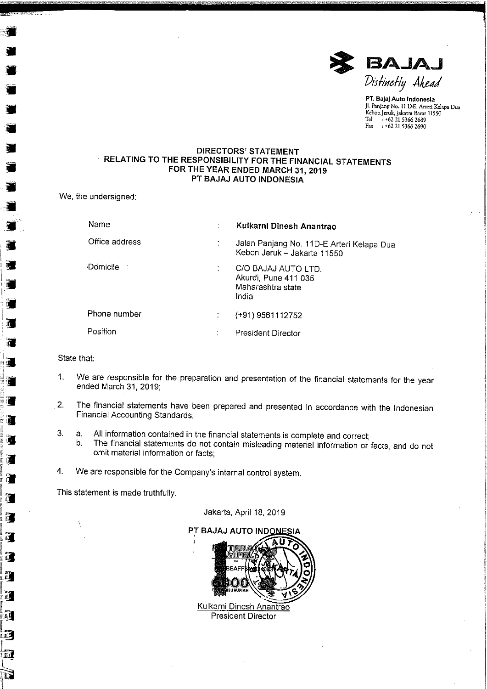

PT. Bajaj Auto Indonesia Jl. Panjang No. 11 D-E. Arteri Kelapa Dua Kebon Jeruk, Jakarta Barat 11550 Tel +62 21 5366 2689 Fax : +62 21 5366 2690

## **DIRECTORS' STATEMENT** RELATING TO THE RESPONSIBILITY FOR THE FINANCIAL STATEMENTS FOR THE YEAR ENDED MARCH 31, 2019 PT BAJAJ AUTO INDONESIA

We, the undersigned:

| Name           | Kulkarni Dinesh Anantrao                                                  |
|----------------|---------------------------------------------------------------------------|
| Office address | Jalan Panjang No. 11D-E Arteri Kelapa Dua<br>Kebon Jeruk - Jakarta 11550  |
| Domicile       | C/O BAJAJ AUTO LTD.<br>Akurdi, Pune 411 035<br>Maharashtra state<br>India |
| Phone number   | (+91) 9561112752                                                          |
| Position       | President Director                                                        |

State that:

ś,

 $\mathcal{L}$ 

ïĨ.

 $\vec{a}$ 

躀

 $\sum_{k=1}^{n}$ 

珂

 $\mathbb{R}^n$ 

xП

- We are responsible for the preparation and presentation of the financial statements for the year  $1<sub>1</sub>$ ended March 31, 2019;
- The financial statements have been prepared and presented in accordance with the Indonesian  $2.$ Financial Accounting Standards;
- All information contained in the financial statements is complete and correct; 3. a.
	- The financial statements do not contain misleading material information or facts, and do not  $b.$ omit material information or facts;
- $\boldsymbol{4}$ . We are responsible for the Company's internal control system.

This statement is made truthfully.



**President Director** 

Jakarta, April 18, 2019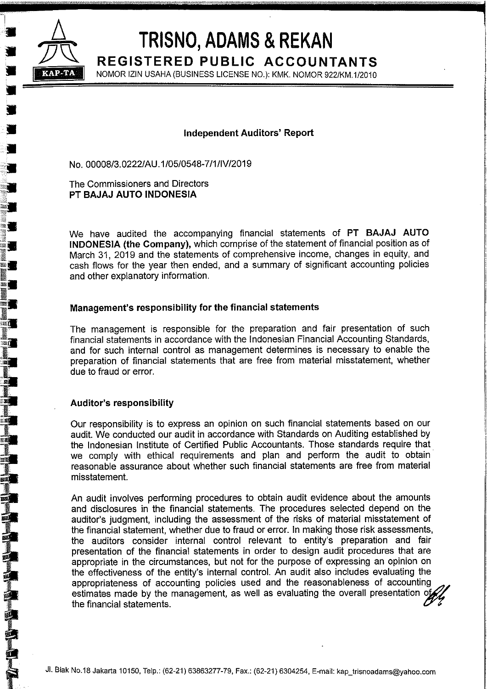

E Ú

si.

FANTA ANG PART

# TRISNO, ADAMS & REKAN

REGISTERED PUBLIC ACCOUNTANTS NOMOR IZIN USAHA (BUSINESS LICENSE NO.): KMK. NOMOR 922/KM.1/2010

# **Independent Auditors' Report**

No. 00008/3.0222/AU.1/05/0548-7/1/IV/2019

The Commissioners and Directors PT BAJAJ AUTO INDONESIA

We have audited the accompanying financial statements of PT BAJAJ AUTO INDONESIA (the Company), which comprise of the statement of financial position as of March 31, 2019 and the statements of comprehensive income, changes in equity, and cash flows for the year then ended, and a summary of significant accounting policies and other explanatory information.

# Management's responsibility for the financial statements

The management is responsible for the preparation and fair presentation of such financial statements in accordance with the Indonesian Financial Accounting Standards, and for such internal control as management determines is necessary to enable the preparation of financial statements that are free from material misstatement, whether due to fraud or error.

# **Auditor's responsibility**

Our responsibility is to express an opinion on such financial statements based on our audit. We conducted our audit in accordance with Standards on Auditing established by the Indonesian Institute of Certified Public Accountants. Those standards require that we comply with ethical requirements and plan and perform the audit to obtain reasonable assurance about whether such financial statements are free from material misstatement.

An audit involves performing procedures to obtain audit evidence about the amounts and disclosures in the financial statements. The procedures selected depend on the auditor's judgment, including the assessment of the risks of material misstatement of the financial statement, whether due to fraud or error. In making those risk assessments, the auditors consider internal control relevant to entity's preparation and fair presentation of the financial statements in order to design audit procedures that are appropriate in the circumstances, but not for the purpose of expressing an opinion on the effectiveness of the entity's internal control. An audit also includes evaluating the appropriateness of accounting policies used and the reasonableness of accounting estimates made by the management, as well as evaluating the overall presentation of the financial statements.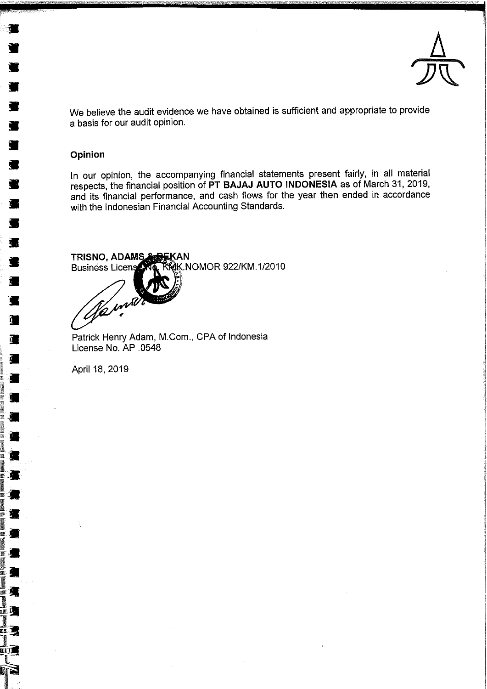

We believe the audit evidence we have obtained is sufficient and appropriate to provide a basis for our audit opinion.

# Opinion

In our opinion, the accompanying financial statements present fairly, in all material respects, the financial position of PT BAJAJ AUTO INDONESIA as of March 31, 2019, and its financial performance, and cash flows for the year then ended in accordance with the Indonesian Financial Accounting Standards.

TRISNO, ADAMS AREKAN **RMK.NOMOR 922/KM.1/2010 Business Licens AT** 

Ha mil

Patrick Henry Adam, M.Com., CPA of Indonesia License No. AP .0548

April 18, 2019

 $\blacksquare$ 

運動

1<br>9

**ET 19** 

li al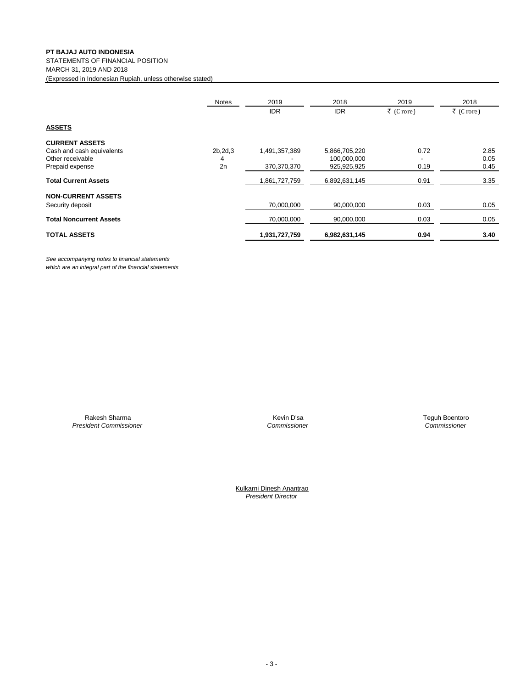STATEMENTS OF FINANCIAL POSITION MARCH 31, 2019 AND 2018

(Expressed in Indonesian Rupiah, unless otherwise stated)

|                                | <b>Notes</b> | 2019          | 2018          | 2019      | 2018      |
|--------------------------------|--------------|---------------|---------------|-----------|-----------|
|                                |              | <b>IDR</b>    | <b>IDR</b>    | ₹ (Crore) | ₹ (Crore) |
| <b>ASSETS</b>                  |              |               |               |           |           |
| <b>CURRENT ASSETS</b>          |              |               |               |           |           |
| Cash and cash equivalents      | 2b, 2d, 3    | 1,491,357,389 | 5,866,705,220 | 0.72      | 2.85      |
| Other receivable               | 4            |               | 100,000,000   | -         | 0.05      |
| Prepaid expense                | 2n           | 370,370,370   | 925,925,925   | 0.19      | 0.45      |
| <b>Total Current Assets</b>    |              | 1,861,727,759 | 6,892,631,145 | 0.91      | 3.35      |
| <b>NON-CURRENT ASSETS</b>      |              |               |               |           |           |
| Security deposit               |              | 70,000,000    | 90,000,000    | 0.03      | 0.05      |
| <b>Total Noncurrent Assets</b> |              | 70,000,000    | 90,000,000    | 0.03      | 0.05      |
| <b>TOTAL ASSETS</b>            |              | 1,931,727,759 | 6,982,631,145 | 0.94      | 3.40      |

*See accompanying notes to financial statements which are an integral part of the financial statements*

> Rakesh Sharma *President Commissioner*

Kevin D'sa *Commissioner*  Teguh Boentoro  *Commissioner*

Kulkarni Dinesh Anantrao *President Director*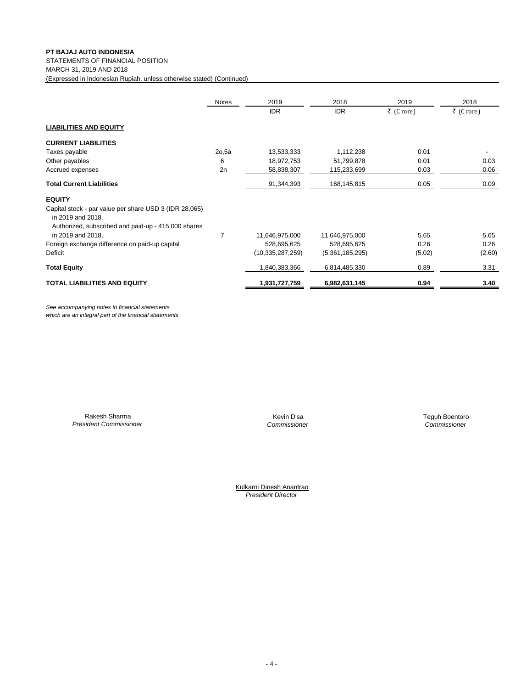STATEMENTS OF FINANCIAL POSITION

MARCH 31, 2019 AND 2018

(Expressed in Indonesian Rupiah, unless otherwise stated) (Continued)

|                                                                                                                                    | Notes | 2019             | 2018            | 2019      | 2018      |
|------------------------------------------------------------------------------------------------------------------------------------|-------|------------------|-----------------|-----------|-----------|
|                                                                                                                                    |       | <b>IDR</b>       | <b>IDR</b>      | ₹ (Crore) | ₹ (Crore) |
| <b>LIABILITIES AND EQUITY</b>                                                                                                      |       |                  |                 |           |           |
| <b>CURRENT LIABILITIES</b>                                                                                                         |       |                  |                 |           |           |
| Taxes payable                                                                                                                      | 2o,5a | 13,533,333       | 1,112,238       | 0.01      |           |
| Other payables                                                                                                                     | 6     | 18,972,753       | 51,799,878      | 0.01      | 0.03      |
| Accrued expenses                                                                                                                   | 2n    | 58,838,307       | 115,233,699     | 0.03      | 0.06      |
| <b>Total Current Liabilities</b>                                                                                                   |       | 91,344,393       | 168,145,815     | 0.05      | 0.09      |
| <b>EQUITY</b>                                                                                                                      |       |                  |                 |           |           |
| Capital stock - par value per share USD 3 (IDR 28,065)<br>in 2019 and 2018.<br>Authorized, subscribed and paid-up - 415,000 shares |       |                  |                 |           |           |
| in 2019 and 2018.                                                                                                                  | 7     | 11,646,975,000   | 11,646,975,000  | 5.65      | 5.65      |
| Foreign exchange difference on paid-up capital                                                                                     |       | 528,695,625      | 528,695,625     | 0.26      | 0.26      |
| Deficit                                                                                                                            |       | (10,335,287,259) | (5,361,185,295) | (5.02)    | (2.60)    |
| <b>Total Equity</b>                                                                                                                |       | 1,840,383,366    | 6,814,485,330   | 0.89      | 3.31      |
| <b>TOTAL LIABILITIES AND EQUITY</b>                                                                                                |       | 1,931,727,759    | 6,982,631,145   | 0.94      | 3.40      |

*See accompanying notes to financial statements which are an integral part of the financial statements*

Rakesh Sharma *President Commissioner*

*Commissioner Commissioner* Kevin D'sa **Teguh Boentoro** 

*President Director* Kulkarni Dinesh Anantrao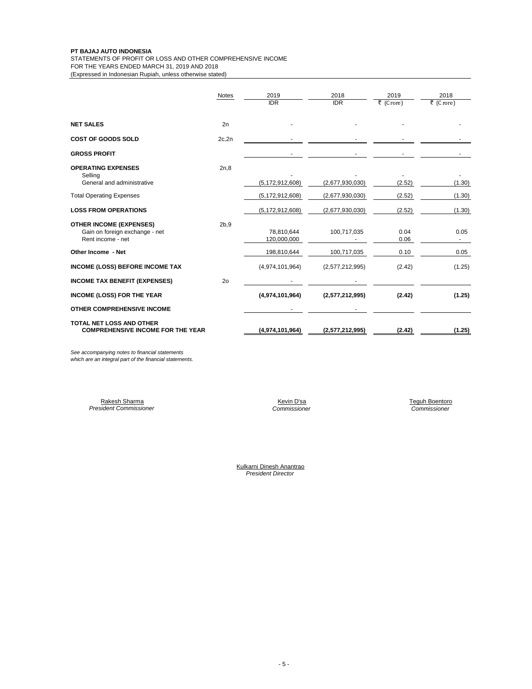STATEMENTS OF PROFIT OR LOSS AND OTHER COMPREHENSIVE INCOME

FOR THE YEARS ENDED MARCH 31, 2019 AND 2018

(Expressed in Indonesian Rupiah, unless otherwise stated)

|                                                                                       | <b>Notes</b>   | 2019<br><b>IDR</b>        | 2018<br><b>IDR</b> | 2019<br>₹ (Crore) | 2018<br>₹ (Crore) |
|---------------------------------------------------------------------------------------|----------------|---------------------------|--------------------|-------------------|-------------------|
| <b>NET SALES</b>                                                                      | 2n             |                           |                    |                   |                   |
| <b>COST OF GOODS SOLD</b>                                                             | 2c, 2n         |                           |                    |                   |                   |
| <b>GROSS PROFIT</b>                                                                   |                |                           |                    |                   |                   |
| <b>OPERATING EXPENSES</b><br>Selling<br>General and administrative                    | 2n,8           | (5, 172, 912, 608)        | (2,677,930,030)    | (2.52)            | (1.30)            |
| <b>Total Operating Expenses</b>                                                       |                | (5, 172, 912, 608)        | (2,677,930,030)    | (2.52)            | (1.30)            |
| <b>LOSS FROM OPERATIONS</b>                                                           |                | (5, 172, 912, 608)        | (2,677,930,030)    | (2.52)            | (1.30)            |
| <b>OTHER INCOME (EXPENSES)</b><br>Gain on foreign exchange - net<br>Rent income - net | 2b.9           | 78,810,644<br>120,000,000 | 100,717,035        | 0.04<br>0.06      | 0.05<br>$\sim$    |
| Other Income - Net                                                                    |                | 198,810,644               | 100,717,035        | 0.10              | 0.05              |
| <b>INCOME (LOSS) BEFORE INCOME TAX</b>                                                |                | (4,974,101,964)           | (2,577,212,995)    | (2.42)            | (1.25)            |
| <b>INCOME TAX BENEFIT (EXPENSES)</b>                                                  | 2 <sub>o</sub> |                           |                    |                   |                   |
| <b>INCOME (LOSS) FOR THE YEAR</b>                                                     |                | (4,974,101,964)           | (2,577,212,995)    | (2.42)            | (1.25)            |
| OTHER COMPREHENSIVE INCOME                                                            |                |                           |                    |                   |                   |
| TOTAL NET LOSS AND OTHER<br><b>COMPREHENSIVE INCOME FOR THE YEAR</b>                  |                | (4,974,101,964)           | (2,577,212,995)    | (2.42)            | (1.25)            |

*See accompanying notes to financial statements which are an integral part of the financial statements.*

> *President Commissioner Commissioner Commissioner* Rakesh Sharma

Teguh Boentoro<br>Commissioner

*President Director* Kulkarni Dinesh Anantrao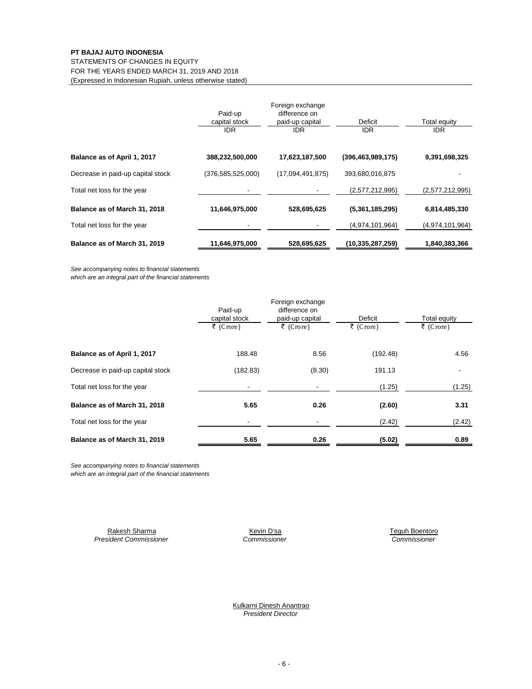STATEMENTS OF CHANGES IN EQUITY

FOR THE YEARS ENDED MARCH 31, 2019 AND 2018 (Expressed in Indonesian Rupiah, unless otherwise stated)

|                                   | Paid-up<br>capital stock<br>IDR. | Foreign exchange<br>difference on<br>paid-up capital<br><b>IDR</b> | Deficit<br><b>IDR</b> | Total equity<br><b>IDR</b> |
|-----------------------------------|----------------------------------|--------------------------------------------------------------------|-----------------------|----------------------------|
| Balance as of April 1, 2017       | 388,232,500,000                  | 17,623,187,500                                                     | (396, 463, 989, 175)  | 9,391,698,325              |
| Decrease in paid-up capital stock | (376,585,525,000)                | (17,094,491,875)                                                   | 393,680,016,875       |                            |
| Total net loss for the year       |                                  |                                                                    | (2,577,212,995)       | (2,577,212,995)            |
| Balance as of March 31, 2018      | 11,646,975,000                   | 528,695,625                                                        | (5,361,185,295)       | 6,814,485,330              |
| Total net loss for the year       |                                  |                                                                    | (4,974,101,964)       | (4,974,101,964)            |
| Balance as of March 31, 2019      | 11,646,975,000                   | 528,695,625                                                        | (10,335,287,259)      | 1,840,383,366              |

*See accompanying notes to financial statements*

*which are an integral part of the financial statements*

|                                   |               | Foreign exchange |           |              |
|-----------------------------------|---------------|------------------|-----------|--------------|
|                                   | Paid-up       | difference on    |           |              |
|                                   | capital stock | paid-up capital  | Deficit   | Total equity |
|                                   | ₹ (Crore)     | ₹ (Crore)        | ₹ (Crore) | ₹ (Crore)    |
| Balance as of April 1, 2017       | 188.48        | 8.56             | (192.48)  | 4.56         |
| Decrease in paid-up capital stock | (182.83)      | (8.30)           | 191.13    |              |
| Total net loss for the year       |               |                  | (1.25)    | (1.25)       |
| Balance as of March 31, 2018      | 5.65          | 0.26             | (2.60)    | 3.31         |
| Total net loss for the year       |               |                  | (2.42)    | (2.42)       |
| Balance as of March 31, 2019      | 5.65          | 0.26             | (5.02)    | 0.89         |

*See accompanying notes to financial statements*

*which are an integral part of the financial statements*

*President Commissioner Commissioner Commissioner* Rakesh Sharma **Kevin D'sa** Kevin D'sa **Kevin D'sa** Teguh Boentoro

Kulkarni Dinesh Anantrao *President Director*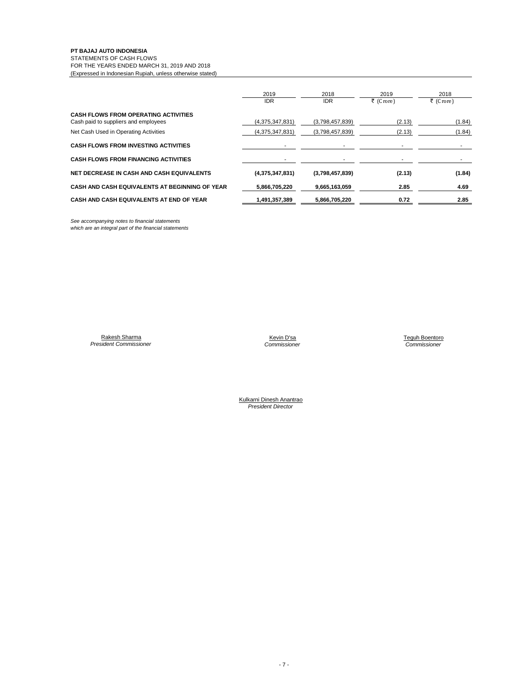## STATEMENTS OF CASH FLOWS

FOR THE YEARS ENDED MARCH 31, 2019 AND 2018 (Expressed in Indonesian Rupiah, unless otherwise stated)

|                                                | 2019<br><b>IDR</b> | 2018<br><b>IDR</b> | 2019<br>₹ (Crore) | 2018<br>₹ (Crore) |
|------------------------------------------------|--------------------|--------------------|-------------------|-------------------|
| <b>CASH FLOWS FROM OPERATING ACTIVITIES</b>    |                    |                    |                   |                   |
| Cash paid to suppliers and employees           | (4,375,347,831)    | (3,798,457,839)    | (2.13)            | (1.84)            |
| Net Cash Used in Operating Activities          | (4,375,347,831)    | (3,798,457,839)    | (2.13)            | (1.84)            |
| <b>CASH FLOWS FROM INVESTING ACTIVITIES</b>    |                    |                    |                   |                   |
| <b>CASH FLOWS FROM FINANCING ACTIVITIES</b>    |                    |                    |                   |                   |
| NET DECREASE IN CASH AND CASH EQUIVALENTS      | (4,375,347,831)    | (3,798,457,839)    | (2.13)            | (1.84)            |
| CASH AND CASH EQUIVALENTS AT BEGINNING OF YEAR | 5,866,705,220      | 9,665,163,059      | 2.85              | 4.69              |
| CASH AND CASH EQUIVALENTS AT END OF YEAR       | 1,491,357,389      | 5.866.705.220      | 0.72              | 2.85              |

*See accompanying notes to financial statements which are an integral part of the financial statements*

Rakesh Sharma *President Commissioner*

 Teguh Boentoro *Commissioner Commissioner* Kevin D'sa<br>Commissioner

Kulkarni Dinesh Anantrao *President Director*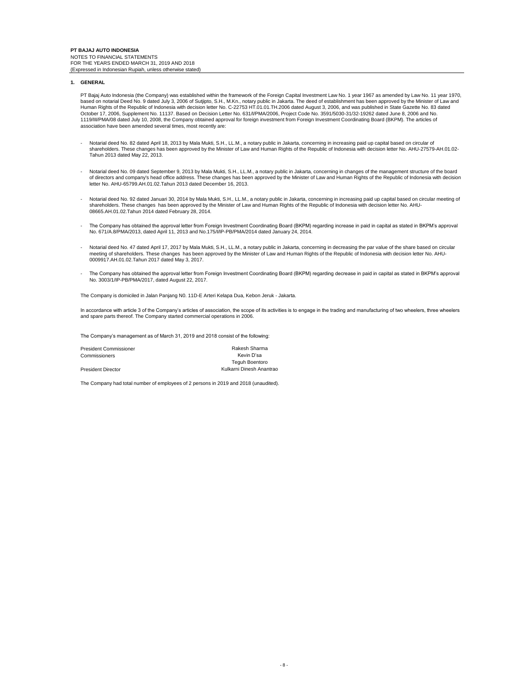## **1. GENERAL**

PT Bajaj Auto Indonesia (the Company) was established within the framework of the Foreign Capital Investment Law No. 1 year 1967 as amended by Law No. 11 year 1970,<br>based on notarial Deed No. 9 dated July 3, 2006 of Sutjip Human Rights of the Republic of Indonesia with decision letter No. C-22753 HT.01.01.TH.2006 dated August 3, 2006, and was published in State Gazette No. 83 dated October 17, 2006, Supplement No. 11137. Based on Decision Letter No. 631/I/PMA/2006, Project Code No. 3591/5030-31/32-19262 dated June 8, 2006 and No.<br>1119/III/PMA/08 dated July 10, 2008, the Company obtained approval for association have been amended several times, most recently are:

- Notarial deed No. 82 dated April 18, 2013 by Mala Mukti, S.H., LL.M., a notary public in Jakarta, concerning in increasing paid up capital based on circular of shareholders. These changes has been approved by the Minister of Law and Human Rights of the Republic of Indonesia with decision letter No. AHU-27579-AH.01.02- Tahun 2013 dated May 22, 2013.
- Notarial deed No. 09 dated September 9, 2013 by Mala Mukti, S.H., LL.M., a notary public in Jakarta, concerning in changes of the management structure of the board of directors and company's head office address. These changes has been approved by the Minister of Law and Human Rights of the Republic of Indonesia with decision letter No. AHU-65799.AH.01.02.Tahun 2013 dated December 16, 2013.
- Notarial deed No. 92 dated Januari 30, 2014 by Mala Mukti, S.H., LL.M., a notary public in Jakarta, concerning in increasing paid up capital based on circular meeting of كالم shareholders. These changes has been approved b 08665.AH.01.02.Tahun 2014 dated February 28, 2014.
- The Company has obtained the approval letter from Foreign Investment Coordinating Board (BKPM) regarding increase in paid in capital as stated in BKPM's approval<br>No. 671/A.8/PMA/2013, dated April 11, 2013 and No.175/I/IP-P
- Notarial deed No. 47 dated April 17, 2017 by Mala Mukti, S.H., LL.M., a notary public in Jakarta, concerning in decreasing the par value of the share based on circular -<br>meeting of shareholders. These changes has been appr 0009917.AH.01.02.Tahun 2017 dated May 3, 2017.
- The Company has obtained the approval letter from Foreign Investment Coordinating Board (BKPM) regarding decrease in paid in capital as stated in BKPM's approval No. 3003/1/IP-PB/PMA/2017, dated August 22, 2017.

The Company is domiciled in Jalan Panjang N0. 11D-E Arteri Kelapa Dua, Kebon Jeruk - Jakarta.

In accordance with article 3 of the Company's articles of association, the scope of its activities is to engage in the trading and manufacturing of two wheelers, three wheelers and spare parts thereof. The Company started commercial operations in 2006.

The Company's management as of March 31, 2019 and 2018 consist of the following:

President Commissioner Commissioners President Director Rakesh Sharma Kevin D'sa Teguh Boentoro Kulkarni Dinesh Anantrao

The Company had total number of employees of 2 persons in 2019 and 2018 (unaudited).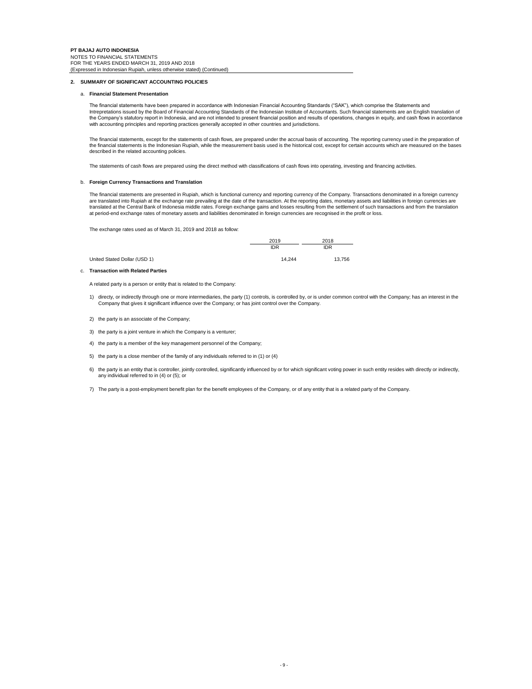## **2. SUMMARY OF SIGNIFICANT ACCOUNTING POLICIES**

## a. **Financial Statement Presentation**

The financial statements have been prepared in accordance with Indonesian Financial Accounting Standards ("SAK"), which comprise the Statements and Intrepretations issued by the Board of Financial Accounting Standards of the Indonesian Institute of Accountants. Such financial statements are an English translation of the Company's statutory report in Indonesia, and are not intended to present financial position and results of operations, changes in equity, and cash flows in accordance with accounting principles and reporting practices generally accepted in other countries and jurisdictions.

The financial statements, except for the statements of cash flows, are prepared under the accrual basis of accounting. The reporting currency used in the preparation of the financial statements is the Indonesian Rupiah, while the measurement basis used is the historical cost, except for certain accounts which are measured on the bases described in the related accounting policies.

The statements of cash flows are prepared using the direct method with classifications of cash flows into operating, investing and financing activities.

#### b. **Foreign Currency Transactions and Translation**

The financial statements are presented in Rupiah, which is functional currency and reporting currency of the Company. Transactions denominated in a foreign currency are translated into Rupiah at the exchange rate prevailing at the date of the transaction. At the reporting dates, monetary assets and liabilities in foreign currencies are<br>translated at the Central Bank of Indonesia middl at period-end exchange rates of monetary assets and liabilities denominated in foreign currencies are recognised in the profit or loss.

The exchange rates used as of March 31, 2019 and 2018 as follow:

|                              | 2019       | 2018       |
|------------------------------|------------|------------|
|                              | <b>IDR</b> | <b>IDR</b> |
| United Stated Dollar (USD 1) | 14.244     | 13.756     |

c. **Transaction with Related Parties**

A related party is a person or entity that is related to the Company:

- 1) directy, or indirectly through one or more intermediaries, the party (1) controls, is controlled by, or is under common control with the Company; has an interest in the Company that gives it significant influence over the Company; or has joint control over the Company.
- 2) the party is an associate of the Company;
- 3) the party is a joint venture in which the Company is a venturer;
- 4) the party is a member of the key management personnel of the Company;
- 5) the party is a close member of the family of any individuals referred to in (1) or (4)
- 6) the party is an entity that is controller, jointly controlled, significantly influenced by or for which significant voting power in such entity resides with directly or indirectly, any individual referred to in (4) or (5); or
- 7) The party is a post-employment benefit plan for the benefit employees of the Company, or of any entity that is a related party of the Company.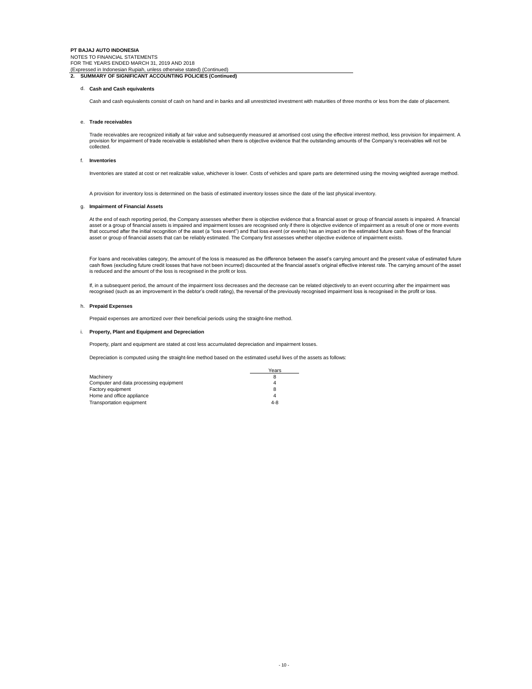#### d. **Cash and Cash equivalents**

Cash and cash equivalents consist of cash on hand and in banks and all unrestricted investment with maturities of three months or less from the date of placement.

#### e. **Trade receivables**

Trade receivables are recognized initially at fair value and subsequently measured at amortised cost using the effective interest method, less provision for impairment. A provision for impairment of trade receivable is established when there is objective evidence that the outstanding amounts of the Company's receivables will not be collected.

#### f. **Inventories**

Inventories are stated at cost or net realizable value, whichever is lower. Costs of vehicles and spare parts are determined using the moving weighted average method.

A provision for inventory loss is determined on the basis of estimated inventory losses since the date of the last physical inventory.

## g. **Impairment of Financial Assets**

At the end of each reporting period, the Company assesses whether there is objective evidence that a financial asset or group of financial assets is impaired. A financial asset or a group of financial assets is impaired and impairment losses are recognised only if there is objective evidence of impairment as a result of one or more events that occurred after the initial recognition of the asset (a "loss event") and that loss event (or events) has an impact on the estimated future cash flows of the financial asset or group of financial assets that can be reliably estimated. The Company first assesses whether objective evidence of impairment exists.

For loans and receivables category, the amount of the loss is measured as the difference between the asset's carrying amount and the present value of estimated future<br>cash flows (excluding future credit losses that have no is reduced and the amount of the loss is recognised in the profit or loss.

If, in a subsequent period, the amount of the impairment loss decreases and the decrease can be related objectively to an event occurring after the impairment was recognised (such as an improvement in the debtor's credit rating), the reversal of the previously recognised impairment loss is recognised in the profit or loss.

#### h. **Prepaid Expenses**

Prepaid expenses are amortized over their beneficial periods using the straight-line method.

#### i. **Property, Plant and Equipment and Depreciation**

Property, plant and equipment are stated at cost less accumulated depreciation and impairment losses.

Depreciation is computed using the straight-line method based on the estimated useful lives of the assets as follows:

|                                        | Years   |
|----------------------------------------|---------|
| Machinery                              |         |
| Computer and data processing equipment |         |
| Factory equipment                      |         |
| Home and office appliance              | Δ       |
| Transportation equipment               | $4 - 8$ |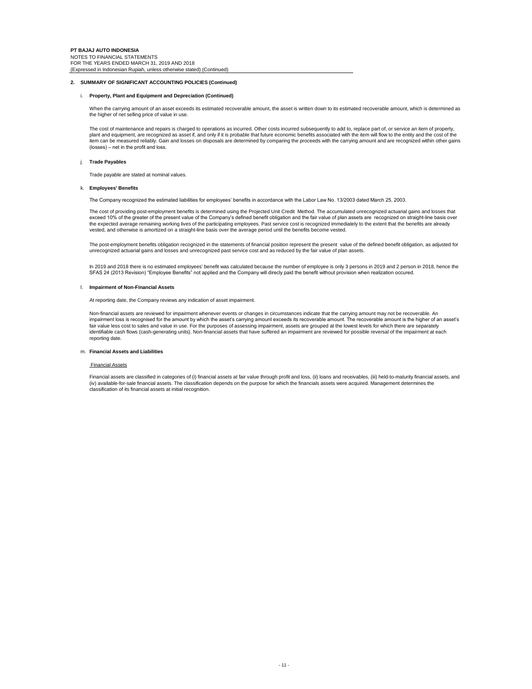## **2. SUMMARY OF SIGNIFICANT ACCOUNTING POLICIES (Continued)**

## i. **Property, Plant and Equipment and Depreciation (Continued)**

When the carrying amount of an asset exceeds its estimated recoverable amount, the asset is written down to its estimated recoverable amount, which is determined as the higher of net selling price of value in use.

The cost of maintenance and repairs is charged to operations as incurred. Other costs incurred subsequently to add to, replace part of, or service an item of property, plant and equipment, are recognized as asset if, and only if it is probable that future economic benefits associated with the item will flow to the entity and the cost of the item can be measured reliably. Gain and losses on disposals are determined by comparing the proceeds with the carrying amount and are recognized within other gains (losses) – net in the profit and loss.

#### j. **Trade Payables**

Trade payable are stated at nominal values.

## k. **Employees' Benefits**

The Company recognized the estimated liabilities for employees' benefits in accordance with the Labor Law No. 13/2003 dated March 25, 2003.

The cost of providing post-employment benefits is determined using the Projected Unit Credit Method. The accumulated unrecognized actuarial gains and losses that exceed 10% of the greater of the present value of the Company's defined benefit obligation and the fair value of plan assets are recognized on straight-line basis over the expected average remaining working lives of the participating employees. Past service cost is recognized immediately to the extent that the benefits are already vested, and otherwise is amortized on a straight-line basis over the average period until the benefits become vested.

The post-employment benefits obligation recognized in the statements of financial position represent the present value of the defined benefit obligation, as adjusted for<br>unrecognized actuarial gains and losses and unrecogn

In 2019 and 2018 there is no estimated employees' benefit was calculated because the number of employee is only 3 persons in 2019 and 2 person in 2018, hence the SFAS 24 (2013 Revision) "Employee Benefits" not applied and the Company will direcly paid the benefit without provision when realization occured.

#### l. **Impairment of Non-Financial Assets**

At reporting date, the Company reviews any indication of asset impairment.

Non-financial assets are reviewed for impairment whenever events or changes in circumstances indicate that the carrying amount may not be recoverable. An impairment loss is recognised for the amount by which the asset's carrying amount exceeds its recoverable amount. The recoverable amount is the higher of an asset's fair value less cost to sales and value in use. For the purposes of assessing impairment, assets are grouped at the lowest levels for which there are separately identifiable cash flows (cash-generating units). Non-financial assets that have suffered an impairment are reviewed for possible reversal of the impairment at each reporting date.

#### m. **Financial Assets and Liabilities**

## Financial Assets

Financial assets are classified in categories of (i) financial assets at fair value through profit and loss, (ii) loans and receivables, (iii) held-to-maturity financial assets, and (iv) available-for-sale financial assets. The classification depends on the purpose for which the financials assets were acquired. Management determines the classification of its financial assets at initial recognition.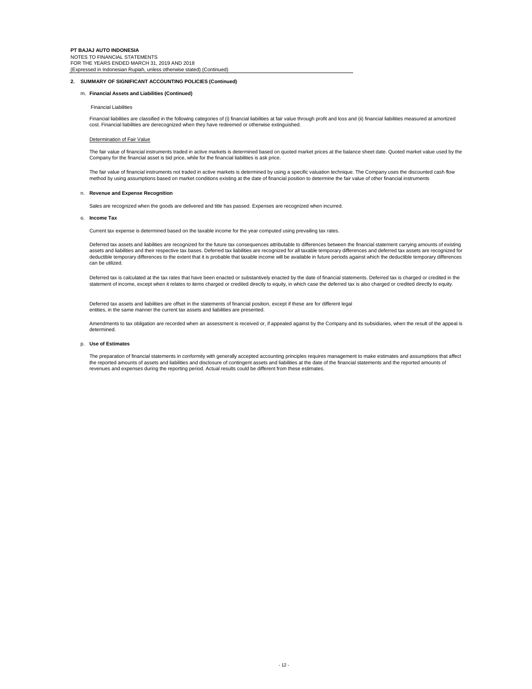## **2. SUMMARY OF SIGNIFICANT ACCOUNTING POLICIES (Continued)**

#### m. **Financial Assets and Liabilities (Continued)**

#### Financial Liabilities

Financial liabilities are classified in the following categories of (i) financial liabilities at fair value through profit and loss and (ii) financial liabilities measured at amortized cost. Financial liabilities are derecognized when they have redeemed or otherwise extinguished.

## Determination of Fair Value

The fair value of financial instruments traded in active markets is determined based on quoted market prices at the balance sheet date. Quoted market value used by the Company for the financial asset is bid price, while for the financial liabilities is ask price.

The fair value of financial instruments not traded in active markets is determined by using a specific valuation technique. The Company uses the discounted cash flow method by using assumptions based on market conditions existing at the date of financial position to determine the fair value of other financial instruments

#### n. **Revenue and Expense Recognition**

Sales are recognized when the goods are delivered and title has passed. Expenses are recognized when incurred.

#### o. **Income Tax**

Current tax expense is determined based on the taxable income for the year computed using prevailing tax rates.

Deferred tax assets and liabilities are recognized for the future tax consequences attributable to differences between the financial statement carrying amounts of existing<br>assets and liabilities and their respective tax ba deductible temporary differences to the extent that it is probable that taxable income will be available in future periods against which the deductible temporary differences can be utilized.

Deferred tax is calculated at the tax rates that have been enacted or substantively enacted by the date of financial statements. Deferred tax is charged or credited in the statement of income, except when it relates to items charged or credited directly to equity, in which case the deferred tax is also charged or credited directly to equity.

Deferred tax assets and liabilities are offset in the statements of financial position, except if these are for different legal entities, in the same manner the current tax assets and liabilities are presented.

Amendments to tax obligation are recorded when an assessment is received or, if appealed against by the Company and its subsidiaries, when the result of the appeal is determined.

## p. **Use of Estimates**

The preparation of financial statements in conformity with generally accepted accounting principles requires management to make estimates and assumptions that affect the reported amounts of assets and liabilities and disclosure of contingent assets and liabilities at the date of the financial statements and the reported amounts of revenues and expenses during the reporting period. Actual results could be different from these estimates.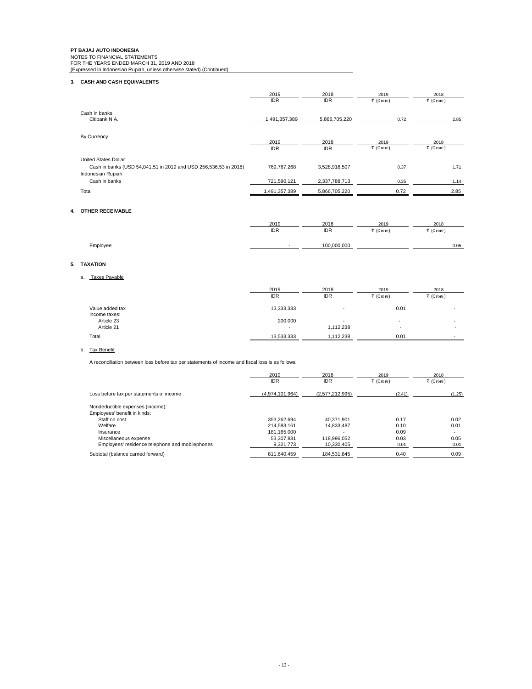**PT BAJAJ AUTO INDONESIA**<br>NOTES TO FINANCIAL STATEMENTS<br>FOR THE YEARS ENDED MARCH 31, 2019 AND 2018<br>(Expressed in Indonesian Rupiah, unless otherwise stated) (Continued)

## **3. CASH AND CASH EQUIVALENTS**

|                                                                                                                                       | 2019                       | 2018                           | 2019              | 2018              |
|---------------------------------------------------------------------------------------------------------------------------------------|----------------------------|--------------------------------|-------------------|-------------------|
|                                                                                                                                       | <b>IDR</b>                 | <b>IDR</b>                     | ₹ (Crore)         | ₹ (Crore)         |
| Cash in banks<br>Citibank N.A.                                                                                                        | 1,491,357,389              | 5,866,705,220                  | 0.72              | 2.85              |
| <b>By Currency</b>                                                                                                                    | 2019<br><b>IDR</b>         | 2018<br><b>IDR</b>             | 2019<br>₹ (Crore) | 2018<br>₹ (Crore) |
| <b>United States Dollar</b><br>Cash in banks (USD 54,041.51 in 2019 and USD 256,536.53 in 2018)<br>Indonesian Rupiah<br>Cash in banks | 769.767.268<br>721,590,121 | 3,528,916,507<br>2,337,788,713 | 0.37<br>0.35      | 1.71<br>1.14      |
| Total                                                                                                                                 | 1,491,357,389              | 5,866,705,220                  | 0.72              | 2.85              |

## **4. OTHER RECEIVABLE**

|          | 2019 | 2018        | 2019                              | 2018      |
|----------|------|-------------|-----------------------------------|-----------|
|          | IDR  | IDR         | $\overline{\phantom{a}}$ (C rore) | ₹ (Crore) |
|          |      |             |                                   |           |
| Employee | -    | 100.000.000 | $\sim$                            | 0.05      |

## **5. TAXATION**

## a. Taxes Payable

|                                           | 2019         | 2018       | 2019      | 2018      |
|-------------------------------------------|--------------|------------|-----------|-----------|
|                                           | IDR          | <b>IDR</b> | ₹ (Crore) | ₹ (Crore) |
| Value added tax                           | 13,333,333   |            | 0.01      |           |
| Income taxes:<br>Article 23<br>Article 21 | 200,000<br>- | 1,112,238  | ۰         |           |
| Total                                     | 13,533,333   | 1,112,238  | 0.01      |           |

## b. Tax Benefit

A reconciliation between loss before tax per statements of income and fiscal loss is as follows:

|                                                 | 2019<br><b>IDR</b> | 2018<br><b>IDR</b> | 2019<br>₹ (Crore) | 2018<br>₹ (Crore) |
|-------------------------------------------------|--------------------|--------------------|-------------------|-------------------|
| Loss before tax per statements of income        | (4,974,101,964)    | (2,577,212,995)    | (2.41)            | (1.25)            |
| Nondeductible expenses (income):                |                    |                    |                   |                   |
| Employees' benefit in kinds:                    |                    |                    |                   |                   |
| Staff on cost                                   | 353.262.694        | 40.371.901         | 0.17              | 0.02              |
| Welfare                                         | 214.583.161        | 14.833.487         | 0.10              | 0.01              |
| Insurance                                       | 181.165.000        |                    | 0.09              | -                 |
| Miscellaneous expense                           | 53.307.831         | 118.996.052        | 0.03              | 0.05              |
| Employees' residence telephone and mobilephones | 9.321.773          | 10.330.405         | 0.01              | 0.01              |
| Subtotal (balance carried forward)              | 811.640.459        | 184,531,845        | 0.40              | 0.09              |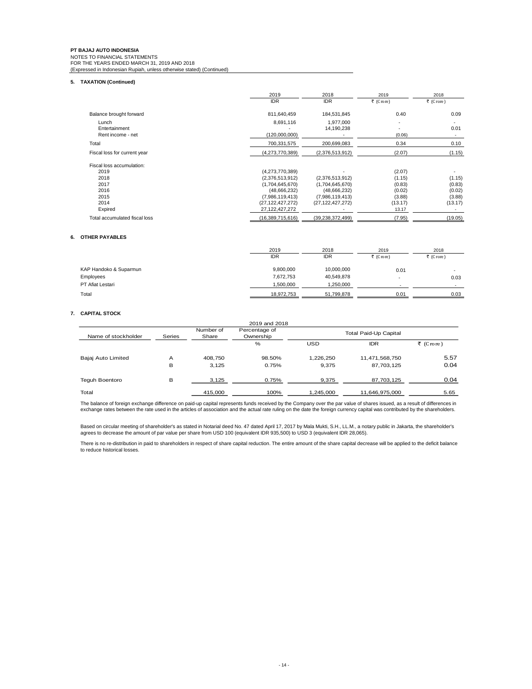# **PT BAJAJ AUTO INDONESIA** NOTES TO FINANCIAL STATEMENTS<br>FOR THE YEARS ENDED MARCH 31, 2019 AND 2018<br>(Expressed in Indonesian Rupiah, unless otherwise stated) (Continued)

## **5. TAXATION (Continued)**

|                                             | 2019<br><b>IDR</b>         | 2018<br><b>IDR</b>      | 2019<br>₹ (Crore) | 2018<br>₹ (Crore)                |
|---------------------------------------------|----------------------------|-------------------------|-------------------|----------------------------------|
| Balance brought forward                     | 811,640,459                | 184,531,845             | 0.40              | 0.09                             |
| Lunch<br>Entertainment<br>Rent income - net | 8,691,116<br>(120,000,000) | 1,977,000<br>14,190,238 | ۰<br>۰<br>(0.06)  | 0.01<br>$\overline{\phantom{a}}$ |
| Total                                       | 700,331,575                | 200,699,083             | 0.34              | 0.10                             |
| Fiscal loss for current year                | (4,273,770,389)            | (2,376,513,912)         | (2.07)            | (1.15)                           |
| Fiscal loss accumulation:                   |                            |                         |                   |                                  |
| 2019                                        | (4,273,770,389)            |                         | (2.07)            |                                  |
| 2018                                        | (2,376,513,912)            | (2,376,513,912)         | (1.15)            | (1.15)                           |
| 2017                                        | (1,704,645,670)            | (1,704,645,670)         | (0.83)            | (0.83)                           |
| 2016                                        | (48,666,232)               | (48, 666, 232)          | (0.02)            | (0.02)                           |
| 2015                                        | (7,986,119,413)            | (7,986,119,413)         | (3.88)            | (3.88)                           |
| 2014                                        | (27, 122, 427, 272)        | (27, 122, 427, 272)     | (13.17)           | (13.17)                          |
| Expired                                     | 27,122,427,272             |                         | 13.17             |                                  |
| Total accumulated fiscal loss               | (16.389.715.616)           | (39.238.372.499)        | (7.95)            | (19.05)                          |

## **6. OTHER PAYABLES**

|                        | 2019<br><b>IDR</b> | 2018<br><b>IDR</b> | 2019<br>₹ (Crore)        | 2018<br>₹ (Crore) |
|------------------------|--------------------|--------------------|--------------------------|-------------------|
| KAP Handoko & Suparmun | 9,800,000          | 10,000,000         | 0.01                     |                   |
| Employees              | 7,672,753          | 40,549,878         | $\overline{\phantom{a}}$ | 0.03              |
| PT Afiat Lestari       | 1.500.000          | 1.250.000          | ٠                        | $\sim$            |
| Total                  | 18.972.753         | 51.799.878         | 0.01                     | 0.03              |

## **7. CAPITAL STOCK**

| Name of stockholder | Series | Number of<br>Share | Percentage of<br>Ownership | Total Paid-Up Capital |                |           |
|---------------------|--------|--------------------|----------------------------|-----------------------|----------------|-----------|
|                     |        |                    | $\%$                       | USD                   | <b>IDR</b>     | ₹ (Crore) |
| Bajaj Auto Limited  | Α      | 408.750            | 98.50%                     | 1.226.250             | 11,471,568,750 | 5.57      |
|                     | в      | 3.125              | 0.75%                      | 9.375                 | 87,703,125     | 0.04      |
| Teguh Boentoro      | в      | 3.125              | 0.75%                      | 9,375                 | 87,703,125     | 0.04      |
| Total               |        | 415,000            | 100%                       | 1.245.000             | 11,646,975,000 | 5.65      |

The balance of foreign exchange difference on paid-up capital represents funds received by the Company over the par value of shares issued, as a result of differences in<br>exchange rates between the rate used in the articles

Based on circular meeting of shareholder's as stated in Notarial deed No. 47 dated April 17, 2017 by Mala Mukti, S.H., LL.M., a notary public in Jakarta, the shareholder's<br>agrees to decrease the amount of par value per sha

There is no re-distribution in paid to shareholders in respect of share capital reduction. The entire amount of the share capital decrease will be applied to the deficit balance to reduce historical losses.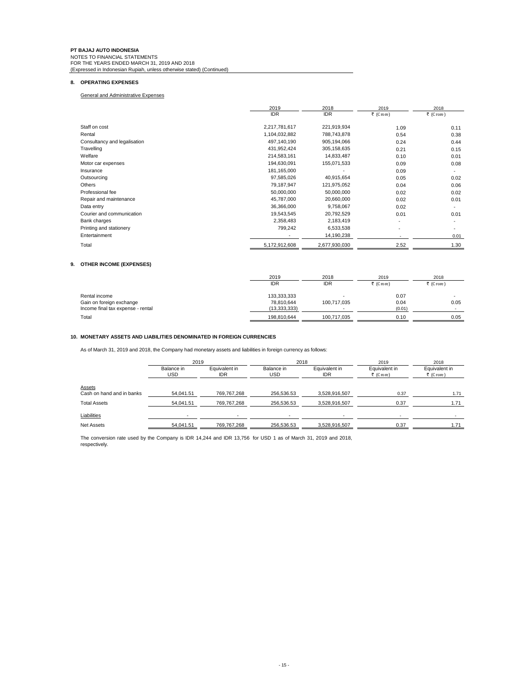## **8. OPERATING EXPENSES**

General and Administrative Expenses

|                              | 2019          | 2018          | 2019                     | 2018      |
|------------------------------|---------------|---------------|--------------------------|-----------|
|                              | <b>IDR</b>    | <b>IDR</b>    | ₹ (Crore)                | ₹ (Crore) |
| Staff on cost                | 2,217,781,617 | 221,919,934   | 1.09                     | 0.11      |
| Rental                       | 1,104,032,882 | 788,743,878   | 0.54                     | 0.38      |
| Consultancy and legalisation | 497,140,190   | 905,194,066   | 0.24                     | 0.44      |
| Travelling                   | 431,952,424   | 305,158,635   | 0.21                     | 0.15      |
| Welfare                      | 214,583,161   | 14,833,487    | 0.10                     | 0.01      |
| Motor car expenses           | 194,630,091   | 155,071,533   | 0.09                     | 0.08      |
| Insurance                    | 181,165,000   |               | 0.09                     | -         |
| Outsourcing                  | 97,585,026    | 40,915,654    | 0.05                     | 0.02      |
| Others                       | 79,187,947    | 121,975,052   | 0.04                     | 0.06      |
| Professional fee             | 50,000,000    | 50,000,000    | 0.02                     | 0.02      |
| Repair and maintenance       | 45,787,000    | 20,660,000    | 0.02                     | 0.01      |
| Data entry                   | 36,366,000    | 9,758,067     | 0.02                     |           |
| Courier and communication    | 19,543,545    | 20,792,529    | 0.01                     | 0.01      |
| Bank charges                 | 2,358,483     | 2,183,419     | $\overline{\phantom{a}}$ |           |
| Printing and stationery      | 799,242       | 6,533,538     | $\overline{\phantom{a}}$ |           |
| Entertainment                |               | 14,190,238    |                          | 0.01      |
| Total                        | 5,172,912,608 | 2,677,930,030 | 2.52                     | 1.30      |

## **9. OTHER INCOME (EXPENSES)**

|                                   | 2019           | 2018        | 2019      | 2018      |
|-----------------------------------|----------------|-------------|-----------|-----------|
|                                   | <b>IDR</b>     | IDR         | ₹ (Crore) | ₹ (Crore) |
| Rental income                     | 133,333,333    |             | 0.07      |           |
| Gain on foreign exchange          | 78.810.644     | 100,717,035 | 0.04      | 0.05      |
| Income final tax expense - rental | (13, 333, 333) | -           | (0.01)    |           |
| Total                             | 198.810.644    | 100,717,035 | 0.10      | 0.05      |

## **10. MONETARY ASSETS AND LIABILITIES DENOMINATED IN FOREIGN CURRENCIES**

As of March 31, 2019 and 2018, the Company had monetary assets and liabilities in foreign currency as follows:

|                           | 2019                     |                             |                          | 2018                        |                            | 2018                       |
|---------------------------|--------------------------|-----------------------------|--------------------------|-----------------------------|----------------------------|----------------------------|
|                           | Balance in<br><b>USD</b> | Equivalent in<br><b>IDR</b> | Balance in<br><b>USD</b> | Equivalent in<br><b>IDR</b> | Equivalent in<br>₹ (Crore) | Equivalent in<br>₹ (Crore) |
| <b>Assets</b>             |                          |                             |                          |                             |                            |                            |
| Cash on hand and in banks | 54.041.51                | 769,767,268                 | 256.536.53               | 3,528,916,507               | 0.37                       | 1.71                       |
| <b>Total Assets</b>       | 54.041.51                | 769.767.268                 | 256.536.53               | 3.528.916.507               | 0.37                       | 1.71                       |
| Liabilities               |                          |                             |                          |                             |                            |                            |
| <b>Net Assets</b>         | 54,041.51                | 769,767,268                 | 256.536.53               | 3,528,916,507               | 0.37                       | 1.71                       |

The conversion rate used by the Company is IDR 14,244 and IDR 13,756 for USD 1 as of March 31, 2019 and 2018, respectively.